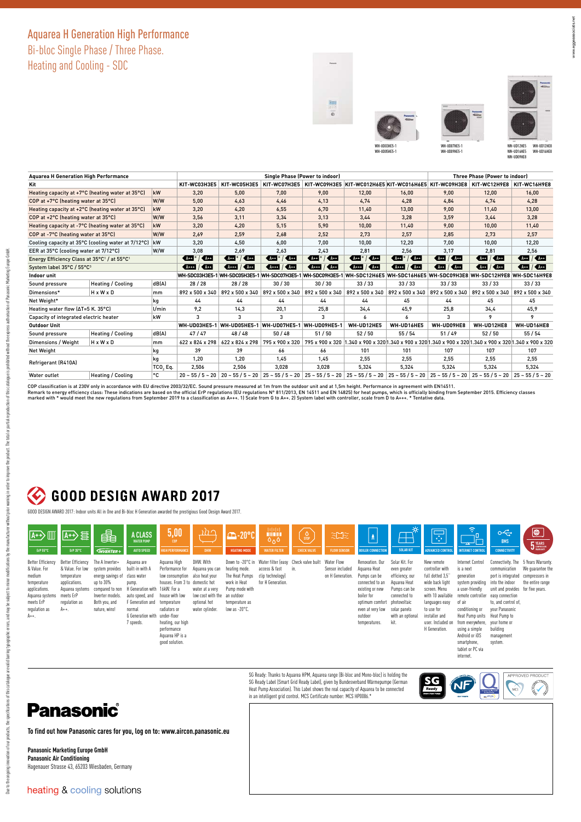### Aquarea H Generation High Performance

Bi-bloc Single Phase / Three Phase.

Heating and Cooling - SDC







| <b>Aquarea H Generation High Performance</b>                        |                          |                      | <b>Three Phase (Power to indoor)</b> |                      |                                                       |                  |                                                                                 |                              |                             |                                 |                                                                                                           |
|---------------------------------------------------------------------|--------------------------|----------------------|--------------------------------------|----------------------|-------------------------------------------------------|------------------|---------------------------------------------------------------------------------|------------------------------|-----------------------------|---------------------------------|-----------------------------------------------------------------------------------------------------------|
| Kit                                                                 | KIT-WC03H3E5             | KIT-WC05H3E5         | KIT-WC07H3E5                         |                      | KIT-WC09H3E5 KIT-WC012H6E5 KIT-WC016H6E5 KIT-WC09H3E8 |                  |                                                                                 | KIT-WC12H9E8                 | KIT-WC16H9E8                |                                 |                                                                                                           |
| kW<br>Heating capacity at +7°C (heating water at 35°C)              |                          |                      | 3,20                                 | 5,00                 | 7,00                                                  | 9,00             | 12,00                                                                           | 16,00                        | 9,00                        | 12,00                           | 16,00                                                                                                     |
| W/W<br>COP at +7°C (heating water at 35°C)                          |                          |                      | 5,00                                 | 4,63                 | 4,46                                                  | 4,13             | 4,74                                                                            | 4,28                         | 4,84                        | 4,74                            | 4,28                                                                                                      |
| kW<br>Heating capacity at +2°C (heating water at 35°C)              |                          |                      | 3,20                                 | 4,20                 | 6,55                                                  | 6,70             | 11,40                                                                           | 13,00                        | 9,00                        | 11,40                           | 13,00                                                                                                     |
| W/W<br>COP at +2°C (heating water at 35°C)                          |                          |                      | 3,56                                 | 3,11                 | 3,34                                                  | 3,13<br>3,44     |                                                                                 | 3,28                         | 3,59                        | 3,44                            | 3,28                                                                                                      |
| kW<br>Heating capacity at -7°C (heating water at 35°C)              |                          |                      | 3,20                                 | 4,20                 | 5,15                                                  | 5,90<br>10,00    |                                                                                 | 11,40                        | 9,00                        | 10,00                           | 11,40                                                                                                     |
| W/W<br>COP at -7°C (heating water at 35°C)                          |                          |                      | 2,69                                 | 2,59                 | 2,68                                                  | 2,52             | 2,73                                                                            | 2,57                         | 2,85                        | 2.73                            | 2,57                                                                                                      |
| Cooling capacity at 35°C (cooling water at 7/12°C)<br>kW            |                          |                      | 3.20                                 | 4.50                 | 6,00                                                  | 7,00             | 10.00                                                                           | 12.20                        | 7.00                        | 10.00                           | 12,20                                                                                                     |
| EER at 35°C (cooling water at 7/12°C)<br>W/W                        |                          |                      | 3,08                                 | 2,69                 | 2,63                                                  | 2,43             | 2,81                                                                            | 2,56                         | 3.17                        | 2.81                            | 2,56                                                                                                      |
| Energy Efficiency Class at 35°C <sup>1</sup> / at 55°C <sup>1</sup> |                          |                      | $AA+$<br>$A + 1$                     | $K$ A++<br>$4+1$     | $\sim$ A++<br>$4 + 1$                                 | $4+1$<br>$K$ A++ | $K$ A++<br>$4+$                                                                 | $\sim$ A++<br>$4+1$          | $4+$<br>$\sqrt{4+1}$        | $A++$<br>$K$ A++                | $\sqrt{2}$ $\sqrt{2}$                                                                                     |
| System label 35°C / 55°C3                                           |                          |                      | $K$ A++<br>$A++$                     | $At++$<br>$\sqrt{4}$ | $\sqrt{A+1}$<br>$A***$                                | $K$ A++<br>$A++$ | 4 14                                                                            | $\sqrt{4444}$ / $\sqrt{444}$ | $\sqrt{444}$ / $\sqrt{444}$ | 44.4                            | 44                                                                                                        |
| Indoor unit                                                         |                          |                      |                                      |                      | WH-SDC03H3E5-1 WH-SDC05H3E5-1 WH-SDC07H3E5-1          |                  | WH-SDC09H3E5-1 WH-SDC12H6E5 WH-SDC16H6E5 WH-SDC09H3E8 WH-SDC12H9E8 WH-SDC16H9E8 |                              |                             |                                 |                                                                                                           |
| Sound pressure                                                      | <b>Heating / Cooling</b> | dB(A)                | 28 / 28                              | 28/28                | 30/30                                                 | 30/30            | 33/33                                                                           | 33/33                        | 33/33                       | 33/33                           | 33/33                                                                                                     |
| Dimensions*                                                         | $H \times W \times D$    | mm                   | 892 x 500 x 340                      | 892 x 500 x 340      | 892 x 500 x 340                                       | 892 x 500 x 340  | 892 x 500 x 340                                                                 | 892 x 500 x 340              | 892 x 500 x 340             | 892 x 500 x 340 892 x 500 x 340 |                                                                                                           |
| Net Weight*<br>kg                                                   |                          |                      | 44                                   | 44                   | 44                                                    | 44               | 44                                                                              | 45                           | 44                          | 45                              | 45                                                                                                        |
| Heating water flow (∆T=5 K. 35°C)                                   |                          | $U$ min              | 9,2                                  | 14,3                 | 20,1                                                  | 25,8             | 34,4                                                                            | 45,9                         | 25,8                        | 34,4                            | 45,9                                                                                                      |
| kW<br>Capacity of integrated electric heater                        |                          |                      | 3                                    | 3                    | 3                                                     | 3                | 6                                                                               | 6                            | 3                           | Q                               | 9                                                                                                         |
| Outdoor Unit                                                        |                          |                      | WH-UD03HE5-1                         | WH-UD05HE5-1         | WH-UD07HE5-1                                          | WH-UD09HE5-1     | WH-UD12HE5                                                                      | WH-UD16HE5                   | WH-UD09HE8                  | WH-UD12HE8                      | WH-UD16HE8                                                                                                |
| Sound pressure                                                      | <b>Heating / Cooling</b> | dB(A)                | 47/47                                | 48/48                | 50/48                                                 | 51/50            | 52/50                                                                           | 55 / 54                      | 51/49                       | 52/50                           | 55 / 54                                                                                                   |
| Dimensions / Weight                                                 | HxWxD                    | <sub>mm</sub>        | 622 x 824 x 298                      | 622 x 824 x 298      | 795 x 900 x 320                                       |                  |                                                                                 |                              |                             |                                 | 795 x 900 x 320 1.340 x 900 x 320 1.340 x 900 x 320 1.340 x 900 x 320 1.340 x 900 x 320 1.340 x 900 x 320 |
| <b>Net Weight</b><br>kg                                             |                          |                      | 39                                   | 39                   | 66                                                    | 66               | 101                                                                             | 101                          | 107                         | 107                             | 107                                                                                                       |
| kg<br>Refrigerant (R410A)                                           |                          |                      | 1.20                                 | 1.20                 | 1.45                                                  | 1.45<br>2.55     |                                                                                 | 2.55                         | 2.55                        | 2.55                            | 2.55                                                                                                      |
|                                                                     |                          | TCO <sub>2</sub> Eq. | 2,506                                | 2,506                | 3.028                                                 | 3.028            | 5.324                                                                           | 5,324                        | 5,324                       | 5,324                           | 5,324                                                                                                     |
| Water outlet                                                        | Heating / Cooling        | ۰c                   | $20 - 55/5 - 20$                     | $20 - 55 / 5 - 20$   |                                                       |                  | $25 - 55/5 - 20$ 25 - 55/5 - 20 25 - 55/5 - 20                                  | $25 - 55 / 5 - 20$           |                             | $25 - 55/5 - 20$ 25 - 55/5 - 20 | $25 - 55/5 - 20$                                                                                          |

COP classification is at 230V only in accordance with EU directive 2003/32/EC. Sound pressure measured at 1m from the outdoor unit and at 1,5m height. Performance in agreement with EN14511.<br>Remark to energy efficiency clas

#### **GOOD DESIGN AWARD 2017**  $\bigcirc$

GOOD DESIGN AWARD 2017: Indoor units All in One and Bi-bloc H Generation awarded the prestigious Good Design Award 2017.

| $\sqrt{A+1}$                                                                                                                                   | <b>IIHD</b>                                                                                                                       | 串                                                                                                                                             | <b>A CLASS</b><br><b>WATER PUMP</b>                                                                                                                            | 5,00<br><b>COP</b>                                                                                                                                                                                                                           | าไ≀า                                                                                                                      | <b>E-20°C</b>                                                                                                                                    | 3888<br><b>HIIIIIIIIIIIII</b><br>0 <sub>0</sub>        | S <sub>1</sub>                              | $\mathbb{R}$                                      | $\overline{\mathbf{v}}$                                                                                                                                                             | <u>a pa</u>                                                                                                                                   | $\overline{\mathbb{R}}$                                                                                                                                                                          | କ                                                                                                                                                                                                                                                                                   | $\sim$<br><b>BMS</b>                                                                                                                                                                         | ⊜<br><b>5</b> YEARS<br>WARRANTY                                                               |
|------------------------------------------------------------------------------------------------------------------------------------------------|-----------------------------------------------------------------------------------------------------------------------------------|-----------------------------------------------------------------------------------------------------------------------------------------------|----------------------------------------------------------------------------------------------------------------------------------------------------------------|----------------------------------------------------------------------------------------------------------------------------------------------------------------------------------------------------------------------------------------------|---------------------------------------------------------------------------------------------------------------------------|--------------------------------------------------------------------------------------------------------------------------------------------------|--------------------------------------------------------|---------------------------------------------|---------------------------------------------------|-------------------------------------------------------------------------------------------------------------------------------------------------------------------------------------|-----------------------------------------------------------------------------------------------------------------------------------------------|--------------------------------------------------------------------------------------------------------------------------------------------------------------------------------------------------|-------------------------------------------------------------------------------------------------------------------------------------------------------------------------------------------------------------------------------------------------------------------------------------|----------------------------------------------------------------------------------------------------------------------------------------------------------------------------------------------|-----------------------------------------------------------------------------------------------|
| ErP 55°C                                                                                                                                       | ErP 35°C                                                                                                                          | <b>GNVERTER+</b>                                                                                                                              | <b>AUTO SPEED</b>                                                                                                                                              | <b>HIGH PERFORMANCE</b>                                                                                                                                                                                                                      | <b>DHW</b>                                                                                                                | <b>HEATING MODE</b>                                                                                                                              | <b>WATER FILTER</b>                                    | <b>CHECK VALVE</b>                          | <b>FLOW SENSOR</b>                                | <b>BOILER CONNECTION</b>                                                                                                                                                            | <b>SOLAR KIT</b>                                                                                                                              | <b>ADVANCED CONTRO</b>                                                                                                                                                                           | <b>INTERNET CONTR</b>                                                                                                                                                                                                                                                               | <b>CONNECTIVITY</b>                                                                                                                                                                          |                                                                                               |
| <b>Better Efficiency</b><br>& Value. For<br>medium<br>temperature<br>applications.<br>Aquarea systems<br>meets ErP<br>requlation as<br>$A++$ . | Better Efficiency<br>& Value. For low<br>temperature<br>applications.<br>Aquarea systems<br>meets ErP<br>requlation as<br>$A++$ . | The A Inverter+<br>system provides<br>energy savings of<br>up to 30%<br>compared to non<br>Inverter models.<br>Both you, and<br>nature, wins! | Aquarea are<br>built-in with A<br>class water<br>pump.<br>H Generation with<br>auto speed, and<br>F Generation and<br>normal<br>G Generation with<br>7 speeds. | Aquarea High<br>Performance for<br>low consumption<br>houses. From 3 to domestic hot<br>16kW. For a<br>house with low<br>temperature<br>radiators or<br>under-floor<br>heating, our high<br>performance<br>Aquarea HP is a<br>good solution. | DHW. With<br>Aquarea you can<br>also heat your<br>water at a very<br>low cost with the<br>optional hot<br>water cylinder. | Down to -20°C in<br>heating mode.<br>The Heat Pumps<br>work in Heat<br>Pumo mode with<br>an outdoor<br>temperature as<br>low as $-20^{\circ}$ C. | access & fast<br>clip technology)<br>for H Generation. | Water filter (easy Check valve built<br>in. | Water Flow<br>Sensor included<br>on H Generation. | Renovation, Our<br>Aquarea Heat<br>Pumps can be<br>connected to an<br>existing or new<br>boiler for<br>optimum comfort photovoltaic<br>even at very low<br>outdoor<br>temperatures. | Solar Kit, For<br>even greater<br>efficiency, our<br>Aquarea Heat<br>Pumps can be<br>connected to<br>solar panels<br>with an optional<br>kit. | New remote<br>controller with<br>full dotted 3,5"<br>wide back light<br>screen. Menu<br>with 10 available<br>languages easy<br>to use for<br>installer and<br>user. Included on<br>H Generation. | <b>Internet Control</b><br>is a next<br>qeneration<br>system providing<br>a user-friendly<br>remote controller<br>of air<br>conditioning or<br>Heat Pump units Heat Pump to<br>from everywhere, your home or<br>using a simple<br>Android or iOS<br>smartphone,<br>tablet or PC via | communication<br>port is integrated<br>into the indoor<br>unit and provides for five vears.<br>easy connection<br>to, and control of,<br>your Panasonic<br>building<br>management<br>system. | Connectivity, The 5 Years Warranty,<br>We guarantee the<br>compressors in<br>the entire range |

## **Panasonic**

Due to the country, the specifications of this catalogue are additionally areas and a positive and a positive the manifications of the that in production of the catalogue is problement this catalogue of production of the s

Due to be ongoing invocation of our points, and a statement of this catalogue are all and be appropriate and a subject to mind material product material properties and production of this catalogue is problement and are app

**To find out how Panasonic cares for you, log on to: www.aircon.panasonic.eu** 

**Panasonic Marketing Europe GmbH Panasonic Air Conditioning** Hagenauer Strasse 43, 65203 Wiesbaden, Germany SG Ready: Thanks to Aquarea HPM, Aquarea range (Bi-bloc and Mono-bloc) is holding the SG Ready Label (Smart Grid Ready Label), given by Bundesverband Wärmepumpe (German Heat Pump Association). This Label shows the real capacity of Aquarea to be connected in an intelligent grid control. MCS Certificate number: MCS HP0086.\*



internet.

ww.eggeassociats.net www.eggeassociats.net

heating & cooling solutions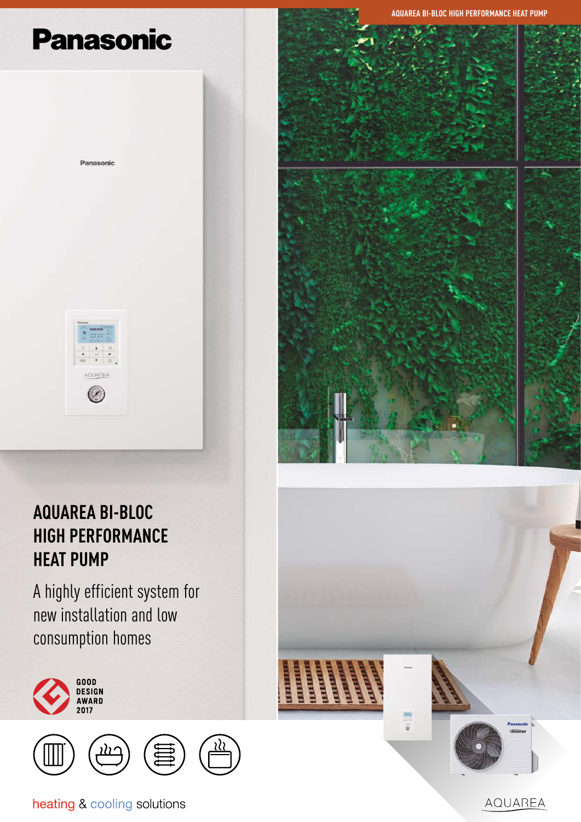# **Panasonic**

Panasonic



## **AQUAREA BI-BLOC HIGH PERFORMANCE HEAT PUMP**

A highly efficient system for new installation and low consumption homes





heating & cooling solutions







AQUAREA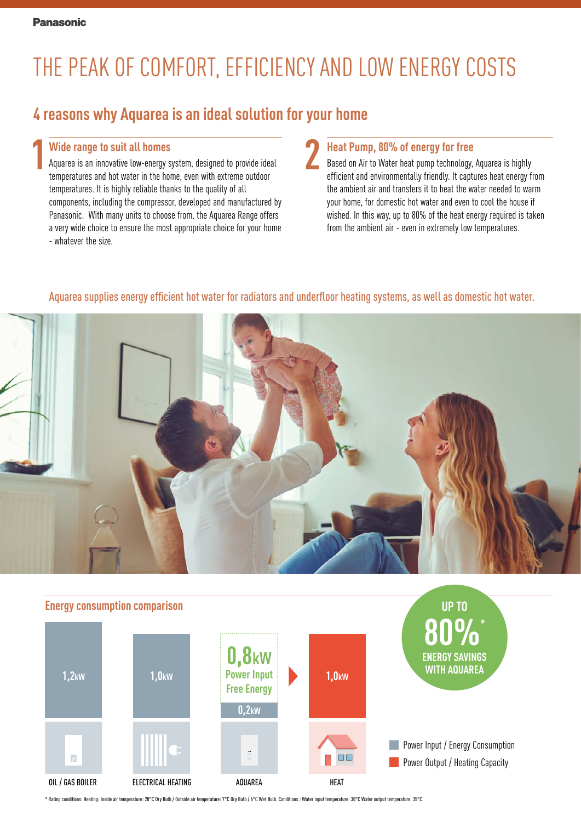# THE PEAK OF COMFORT, EFFICIENCY AND LOW ENERGY COSTS

### **4 reasons why Aquarea is an ideal solution for your home**

#### **Wide range to suit all homes**

**1 2** Aquarea is an innovative low-energy system, designed to provide ideal temperatures and hot water in the home, even with extreme outdoor temperatures. It is highly reliable thanks to the quality of all components, including the compressor, developed and manufactured by Panasonic. With many units to choose from, the Aquarea Range offers a very wide choice to ensure the most appropriate choice for your home - whatever the size.

#### **Heat Pump, 80% of energy for free**

Based on Air to Water heat pump technology, Aquarea is highly efficient and environmentally friendly. It captures heat energy from the ambient air and transfers it to heat the water needed to warm your home, for domestic hot water and even to cool the house if wished. In this way, up to 80% of the heat energy required is taken from the ambient air - even in extremely low temperatures.

#### Aquarea supplies energy efficient hot water for radiators and underfloor heating systems, as well as domestic hot water.





\* Rating conditions: Heating: Inside air temperature: 20°C Dry Bulb / Outside air temperature: 7°C Dry Bulb / 6°C Wet Bulb. Conditions : Water input temperature: 30°C Water output temperature: 35°C